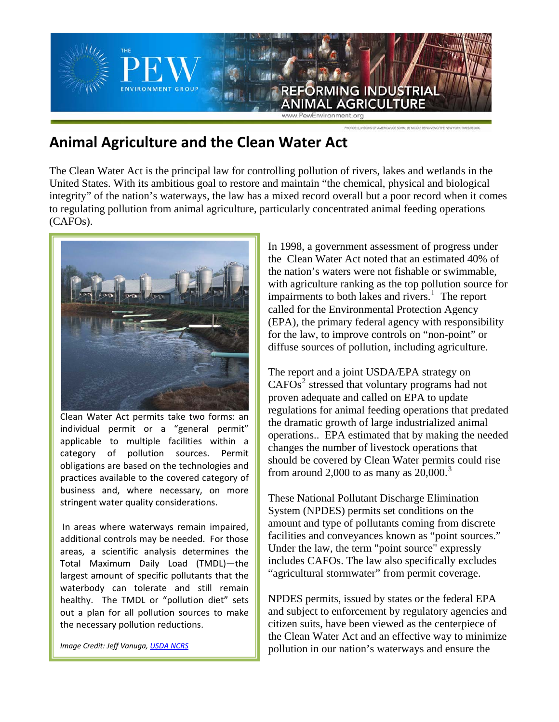

## **Animal Agriculture and the Clean Water Act**

The Clean Water Act is the principal law for controlling pollution of rivers, lakes and wetlands in the United States. With its ambitious goal to restore and maintain "the chemical, physical and biological integrity" of the nation's waterways, the law has a mixed record overall but a poor record when it comes to regulating pollution from animal agriculture, particularly concentrated animal feeding operations (CAFOs).



Clean Water Act permits take two forms: an individual permit or a "general permit" applicable to multiple facilities within a category of pollution sources. Permit obligations are based on the technologies and practices available to the covered category of business and, where necessary, on more stringent water quality considerations.

In areas where waterways remain impaired, additional controls may be needed. For those areas, a scientific analysis determines the Total Maximum Daily Load (TMDL)—the largest amount of specific pollutants that the waterbody can tolerate and still remain healthy. The TMDL or "pollution diet" sets out a plan for all pollution sources to make the necessary pollution reductions.

*Image Credit: Jeff Vanuga, [USDA](http://photogallery.nrcs.usda.gov/Detail.asp) NCRS*

In 1998, a government assessment of progress under the Clean Water Act noted that an estimated 40% of the nation's waters were not fishable or swimmable, with agriculture ranking as the top pollution source for impairments to both lakes and rivers.<sup>[1](#page-3-0)</sup> The report called for the Environmental Protection Agency (EPA), the primary federal agency with responsibility for the law, to improve controls on "non-point" or diffuse sources of pollution, including agriculture.

The report and a joint USDA/EPA strategy on  $CAFOs<sup>2</sup>$  $CAFOs<sup>2</sup>$  $CAFOs<sup>2</sup>$  stressed that voluntary programs had not proven adequate and called on EPA to update regulations for animal feeding operations that predated the dramatic growth of large industrialized animal operations.. EPA estimated that by making the needed changes the number of livestock operations that should be covered by Clean Water permits could rise from around 2,000 to as many as  $20,000$ .<sup>[3](#page-3-1)</sup>

These National Pollutant Discharge Elimination System (NPDES) permits set conditions on the amount and type of pollutants coming from discrete facilities and conveyances known as "point sources." Under the law, the term "point source" expressly includes CAFOs. The law also specifically excludes "agricultural stormwater" from permit coverage.

NPDES permits, issued by states or the federal EPA and subject to enforcement by regulatory agencies and citizen suits, have been viewed as the centerpiece of the Clean Water Act and an effective way to minimize pollution in our nation's waterways and ensure the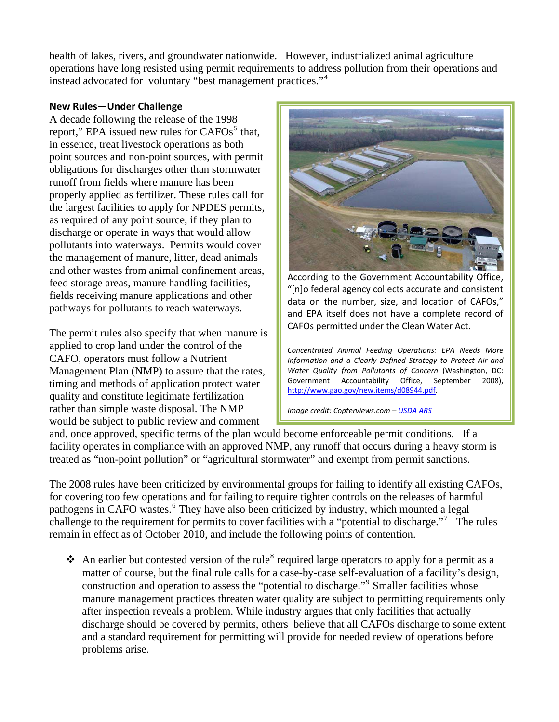health of lakes, rivers, and groundwater nationwide. However, industrialized animal agriculture operations have long resisted using permit requirements to address pollution from their operations and instead advocated for voluntary "best management practices."[4](#page-3-1)

## **New Rules—Under Challenge**

A decade following the release of the 1998 report," EPA issued new rules for  $CAFOs<sup>5</sup>$  $CAFOs<sup>5</sup>$  $CAFOs<sup>5</sup>$  that, in essence, treat livestock operations as both point sources and non-point sources, with permit obligations for discharges other than stormwater runoff from fields where manure has been properly applied as fertilizer. These rules call for the largest facilities to apply for NPDES permits, as required of any point source, if they plan to discharge or operate in ways that would allow pollutants into waterways. Permits would cover the management of manure, litter, dead animals and other wastes from animal confinement areas, feed storage areas, manure handling facilities, fields receiving manure applications and other pathways for pollutants to reach waterways.

The permit rules also specify that when manure is applied to crop land under the control of the CAFO, operators must follow a Nutrient Management Plan (NMP) to assure that the rates, timing and methods of application protect water quality and constitute legitimate fertilization rather than simple waste disposal. The NMP would be subject to public review and comment



According to the Government Accountability Office, "[n]o federal agency collects accurate and consistent data on the number, size, and location of CAFOs," and EPA itself does not have a complete record of CAFOs permitted under the Clean Water Act.

*Concentrated Animal Feeding Operations: EPA Needs More Information and a Clearly Defined Strategy to Protect Air and Water Quality from Pollutants of Concern* (Washington, DC: Government Accountability Office, September 2008), <http://www.gao.gov/new.items/d08944.pdf>.

*Image credit: Copterviews.com – [USDA](http://www.ars.usda.gov/is/graphics/photos/mar05/d033-1.htm) ARS*

and, once approved, specific terms of the plan would become enforceable permit conditions. If a facility operates in compliance with an approved NMP, any runoff that occurs during a heavy storm is treated as "non-point pollution" or "agricultural stormwater" and exempt from permit sanctions.

The 2008 rules have been criticized by environmental groups for failing to identify all existing CAFOs, for covering too few operations and for failing to require tighter controls on the releases of harmful pathogens in CAFO wastes.<sup>[6](#page-3-1)</sup> They have also been criticized by industry, which mounted a legal challenge to the requirement for permits to cover facilities with a "potential to discharge."<sup>[7](#page-3-1)</sup> The rules remain in effect as of October 2010, and include the following points of contention.

 $\triangleleft$  An earlier but contested version of the rule<sup>[8](#page-3-1)</sup> required large operators to apply for a permit as a matter of course, but the final rule calls for a case-by-case self-evaluation of a facility's design, construction and operation to assess the "potential to discharge."<sup>[9](#page-3-1)</sup> Smaller facilities whose manure management practices threaten water quality are subject to permitting requirements only after inspection reveals a problem. While industry argues that only facilities that actually discharge should be covered by permits, others believe that all CAFOs discharge to some extent and a standard requirement for permitting will provide for needed review of operations before problems arise.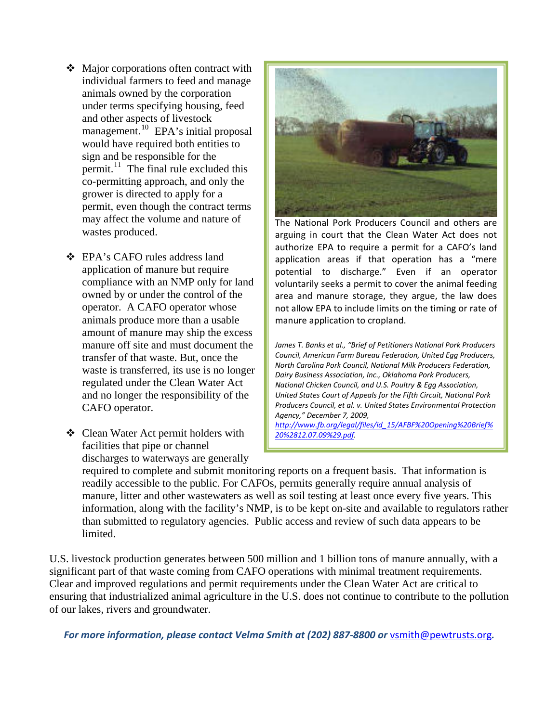- Major corporations often contract with individual farmers to feed and manage animals owned by the corporation under terms specifying housing, feed and other aspects of livestock management.<sup>[10](#page-3-1)</sup> EPA's initial proposal would have required both entities to sign and be responsible for the permit.<sup>[11](#page-3-1)</sup> The final rule excluded this co-permitting approach, and only the grower is directed to apply for a permit, even though the contract terms may affect the volume and nature of wastes produced.
- EPA's CAFO rules address land application of manure but require compliance with an NMP only for land owned by or under the control of the operator. A CAFO operator whose animals produce more than a usable amount of manure may ship the excess manure off site and must document the transfer of that waste. But, once the waste is transferred, its use is no longer regulated under the Clean Water Act and no longer the responsibility of the CAFO operator.
- Clean Water Act permit holders with facilities that pipe or channel discharges to waterways are generally



The National Pork Producers Council and others are arguing in court that the Clean Water Act does not authorize EPA to require a permit for a CAFO's land application areas if that operation has a "mere potential to discharge." Even if an operator voluntarily seeks a permit to cover the animal feeding area and manure storage, they argue, the law does not allow EPA to include limits on the timing or rate of manure application to cropland.

*James T. Banks et al., "Brief of Petitioners National Pork Producers Council, American Farm Bureau Federation, United Egg Producers, North Carolina Pork Council, National Milk Producers Federation, Dairy Business Association, Inc., Oklahoma Pork Producers, National Chicken Council, and U.S. Poultry & Egg Association, United States Court of Appeals for the Fifth Circuit, National Pork Producers Council, et al. v. United States Environmental Protection Agency," December 7, 2009, [http://www.fb.org/legal/files/id\\_15/AFBF%20Opening%20Brief%](http://www.fb.org/legal/files/id_15/AFBF%20Opening%20Brief%20%2812.07.09%29.pdf)*

*[20%2812.07.09%29.pdf.](http://www.fb.org/legal/files/id_15/AFBF%20Opening%20Brief%20%2812.07.09%29.pdf)*

required to complete and submit monitoring reports on a frequent basis. That information is readily accessible to the public. For CAFOs, permits generally require annual analysis of manure, litter and other wastewaters as well as soil testing at least once every five years. This information, along with the facility's NMP, is to be kept on-site and available to regulators rather than submitted to regulatory agencies. Public access and review of such data appears to be limited.

U.S. livestock production generates between 500 million and 1 billion tons of manure annually, with a significant part of that waste coming from CAFO operations with minimal treatment requirements. Clear and improved regulations and permit requirements under the Clean Water Act are critical to ensuring that industrialized animal agriculture in the U.S. does not continue to contribute to the pollution of our lakes, rivers and groundwater.

*For more information, please contact Velma Smith at (202) 887‐8800 or* [vsmith@pewtrusts.org](mailto:vsmith@pewtrusts.org)*.*